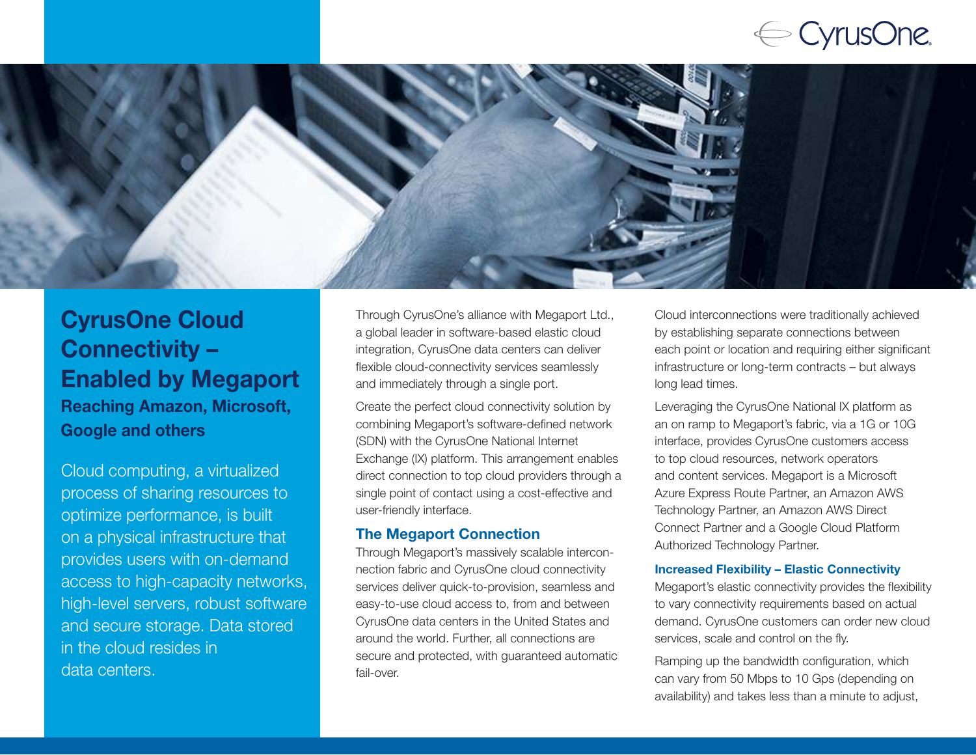# $\Leftarrow$  CyrusOne.



### CyrusOne Cloud Connectivity – Enabled by Megaport Reaching Amazon, Microsoft, Google and others

Cloud computing, a virtualized process of sharing resources to optimize performance, is built on a physical infrastructure that provides users with on-demand access to high-capacity networks, high-level servers, robust software and secure storage. Data stored in the cloud resides in data centers.

Through CyrusOne's alliance with Megaport Ltd., a global leader in software-based elastic cloud integration, CyrusOne data centers can deliver flexible cloud-connectivity services seamlessly and immediately through a single port.

Create the perfect cloud connectivity solution by combining Megaport's software-defined network (SDN) with the CyrusOne National Internet Exchange (IX) platform. This arrangement enables direct connection to top cloud providers through a single point of contact using a cost-effective and user-friendly interface.

### The Megaport Connection

Through Megaport's massively scalable interconnection fabric and CyrusOne cloud connectivity services deliver quick-to-provision, seamless and easy-to-use cloud access to, from and between CyrusOne data centers in the United States and around the world. Further, all connections are secure and protected, with guaranteed automatic fail-over.

Cloud interconnections were traditionally achieved by establishing separate connections between each point or location and requiring either significant infrastructure or long-term contracts – but always long lead times.

Leveraging the CyrusOne National IX platform as an on ramp to Megaport's fabric, via a 1G or 10G interface, provides CyrusOne customers access to top cloud resources, network operators and content services. Megaport is a Microsoft Azure Express Route Partner, an Amazon AWS Technology Partner, an Amazon AWS Direct Connect Partner and a Google Cloud Platform Authorized Technology Partner.

#### Increased Flexibility – Elastic Connectivity

Megaport's elastic connectivity provides the flexibility to vary connectivity requirements based on actual demand. CyrusOne customers can order new cloud services, scale and control on the fly.

Ramping up the bandwidth configuration, which can vary from 50 Mbps to 10 Gps (depending on availability) and takes less than a minute to adjust,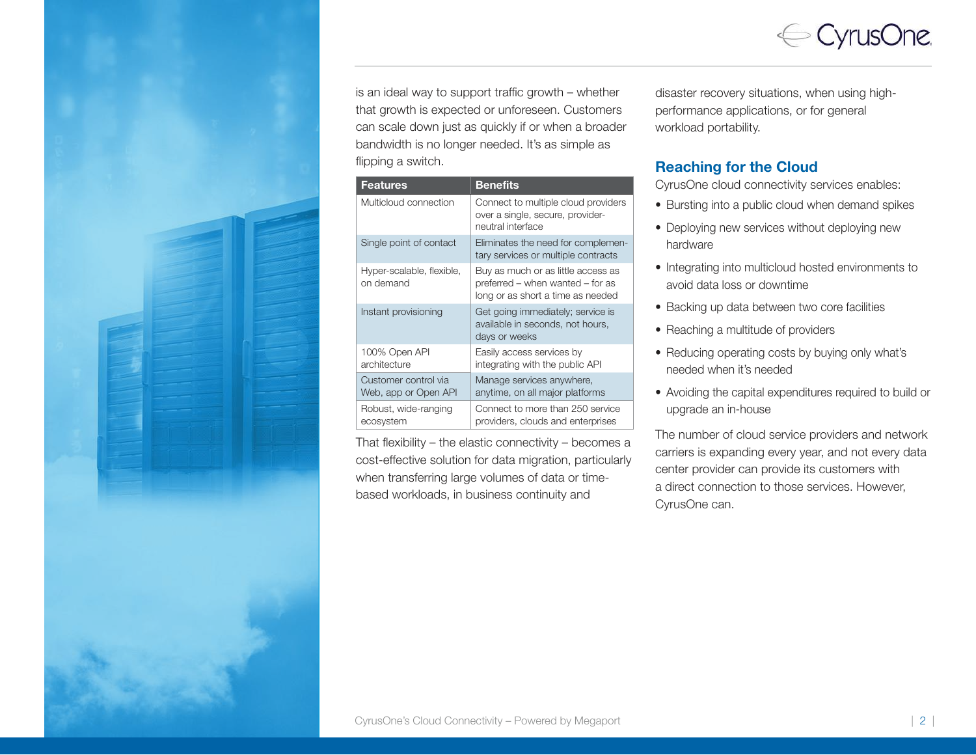

is an ideal way to support traffic growth – whether that growth is expected or unforeseen. Customers can scale down just as quickly if or when a broader bandwidth is no longer needed. It's as simple as flipping a switch.

| <b>Features</b>                              | <b>Benefits</b>                                                                                             |
|----------------------------------------------|-------------------------------------------------------------------------------------------------------------|
| Multicloud connection                        | Connect to multiple cloud providers<br>over a single, secure, provider-<br>neutral interface                |
| Single point of contact                      | Eliminates the need for complemen-<br>tary services or multiple contracts                                   |
| Hyper-scalable, flexible,<br>on demand       | Buy as much or as little access as<br>preferred – when wanted – for as<br>long or as short a time as needed |
| Instant provisioning                         | Get going immediately; service is<br>available in seconds, not hours,<br>days or weeks                      |
| 100% Open API<br>architecture                | Easily access services by<br>integrating with the public API                                                |
| Customer control via<br>Web, app or Open API | Manage services anywhere,<br>anytime, on all major platforms                                                |
| Robust, wide-ranging<br>ecosystem            | Connect to more than 250 service<br>providers, clouds and enterprises                                       |

That flexibility – the elastic connectivity – becomes a cost-effective solution for data migration, particularly when transferring large volumes of data or timebased workloads, in business continuity and

disaster recovery situations, when using highperformance applications, or for general workload portability.

#### Reaching for the Cloud

CyrusOne cloud connectivity services enables:

- Bursting into a public cloud when demand spikes
- Deploying new services without deploying new hardware
- Integrating into multicloud hosted environments to avoid data loss or downtime
- Backing up data between two core facilities
- Reaching a multitude of providers
- Reducing operating costs by buying only what's needed when it's needed
- Avoiding the capital expenditures required to build or upgrade an in-house

The number of cloud service providers and network carriers is expanding every year, and not every data center provider can provide its customers with a direct connection to those services. However, CyrusOne can.



i<br>I